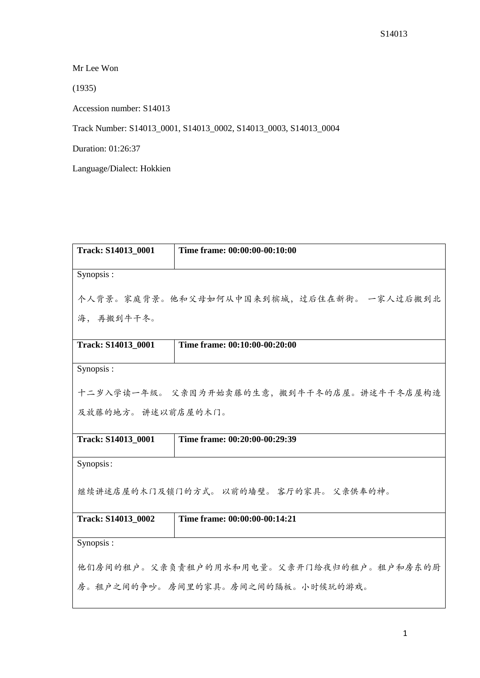Mr Lee Won

(1935)

Accession number: S14013

Track Number: S14013\_0001, S14013\_0002, S14013\_0003, S14013\_0004

Duration: 01:26:37

Language/Dialect: Hokkien

| Track: S14013_0001                         | Time frame: 00:00:00-00:10:00 |  |
|--------------------------------------------|-------------------------------|--|
| Synopsis:                                  |                               |  |
| 个人背景。家庭背景。他和父母如何从中国来到槟城,过后住在新街。 一家人过后搬到北   |                               |  |
| 海, 再搬到牛干冬。                                 |                               |  |
| Track: S14013_0001                         | Time frame: 00:10:00-00:20:00 |  |
| Synopsis:                                  |                               |  |
| 十二岁入学读一年级。 父亲因为开始卖藤的生意, 搬到牛干冬的店屋。讲述牛干冬店屋构造 |                               |  |
| 及放藤的地方。 讲述以前店屋的木门。                         |                               |  |
| Track: S14013_0001                         | Time frame: 00:20:00-00:29:39 |  |
| Synopsis:                                  |                               |  |
| 继续讲述店屋的木门及锁门的方式。 以前的墙壁。 客厅的家具。 父亲供奉的神。     |                               |  |
| Track: S14013 0002                         | Time frame: 00:00:00-00:14:21 |  |
| Synopsis:                                  |                               |  |
| 他们房间的租户。父亲负责租户的用水和用电量。父亲开门给夜归的租户。租户和房东的厨   |                               |  |
| 房。租户之间的争吵。房间里的家具。房间之间的隔板。小时候玩的游戏。          |                               |  |
|                                            |                               |  |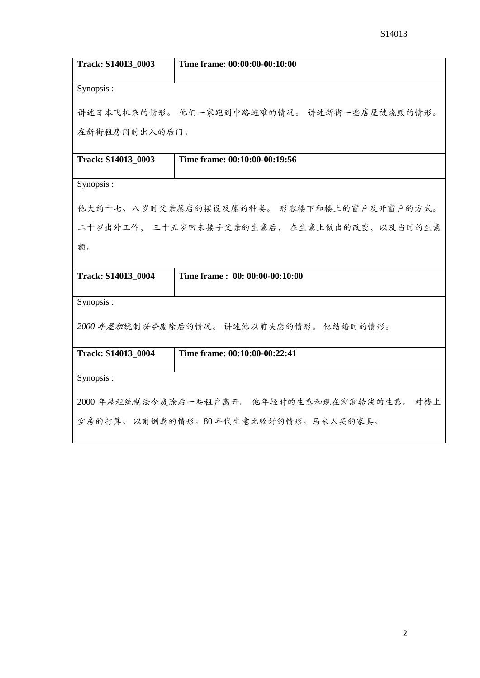| Track: S14013_0003                           | Time frame: 00:00:00-00:10:00               |  |
|----------------------------------------------|---------------------------------------------|--|
| Synopsis:                                    |                                             |  |
|                                              | 讲述日本飞机来的情形。 他们一家跑到中路避难的情况。 讲述新街一些店屋被烧毁的情形。  |  |
| 在新街租房间时出入的后门。                                |                                             |  |
|                                              |                                             |  |
| Track: S14013_0003                           | Time frame: 00:10:00-00:19:56               |  |
| Synopsis:                                    |                                             |  |
|                                              | 他大约十七、八岁时父亲藤店的摆设及藤的种类。 形容楼下和楼上的窗户及开窗户的方式。   |  |
|                                              | 二十岁出外工作, 三十五岁回来接手父亲的生意后, 在生意上做出的改变, 以及当时的生意 |  |
| 额。                                           |                                             |  |
|                                              |                                             |  |
| Track: S14013_0004                           | Time frame: 00: 00:00-00:10:00              |  |
| Synopsis:                                    |                                             |  |
| 2000 年屋租统制法令废除后的情况。 讲述他以前失恋的情形。 他结婚时的情形。     |                                             |  |
|                                              |                                             |  |
| Track: S14013_0004                           | Time frame: 00:10:00-00:22:41               |  |
| Synopsis:                                    |                                             |  |
| 2000年屋租统制法令废除后一些租户离开。 他年轻时的生意和现在渐渐转淡的生意。 对楼上 |                                             |  |
| 空房的打算。 以前倒粪的情形。80年代生意比较好的情形。马来人买的家具。         |                                             |  |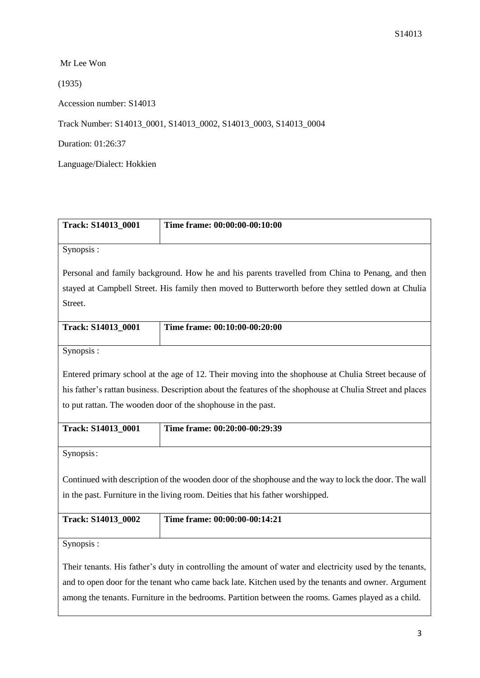Mr Lee Won

(1935)

Accession number: S14013

Track Number: S14013\_0001, S14013\_0002, S14013\_0003, S14013\_0004

Duration: 01:26:37

Language/Dialect: Hokkien

| Track: S14013_0001                                                                                                                                                                                         | Time frame: 00:00:00-00:10:00                                                                             |  |
|------------------------------------------------------------------------------------------------------------------------------------------------------------------------------------------------------------|-----------------------------------------------------------------------------------------------------------|--|
| Synopsis:                                                                                                                                                                                                  |                                                                                                           |  |
|                                                                                                                                                                                                            | Personal and family background. How he and his parents travelled from China to Penang, and then           |  |
|                                                                                                                                                                                                            | stayed at Campbell Street. His family then moved to Butterworth before they settled down at Chulia        |  |
| Street.                                                                                                                                                                                                    |                                                                                                           |  |
| Track: S14013_0001                                                                                                                                                                                         | Time frame: 00:10:00-00:20:00                                                                             |  |
| Synopsis:                                                                                                                                                                                                  |                                                                                                           |  |
|                                                                                                                                                                                                            | Entered primary school at the age of 12. Their moving into the shophouse at Chulia Street because of      |  |
|                                                                                                                                                                                                            | his father's rattan business. Description about the features of the shophouse at Chulia Street and places |  |
| to put rattan. The wooden door of the shophouse in the past.                                                                                                                                               |                                                                                                           |  |
| Track: S14013_0001                                                                                                                                                                                         | Time frame: 00:20:00-00:29:39                                                                             |  |
| Synopsis:                                                                                                                                                                                                  |                                                                                                           |  |
| Continued with description of the wooden door of the shophouse and the way to lock the door. The wall                                                                                                      |                                                                                                           |  |
| in the past. Furniture in the living room. Deities that his father worshipped.                                                                                                                             |                                                                                                           |  |
| Track: S14013_0002                                                                                                                                                                                         | Time frame: 00:00:00-00:14:21                                                                             |  |
| Synopsis:                                                                                                                                                                                                  |                                                                                                           |  |
| Their tenants. His father's duty in controlling the amount of water and electricity used by the tenants,                                                                                                   |                                                                                                           |  |
| and to open door for the tenant who came back late. Kitchen used by the tenants and owner. Argument<br>among the tenants. Furniture in the bedrooms. Partition between the rooms. Games played as a child. |                                                                                                           |  |